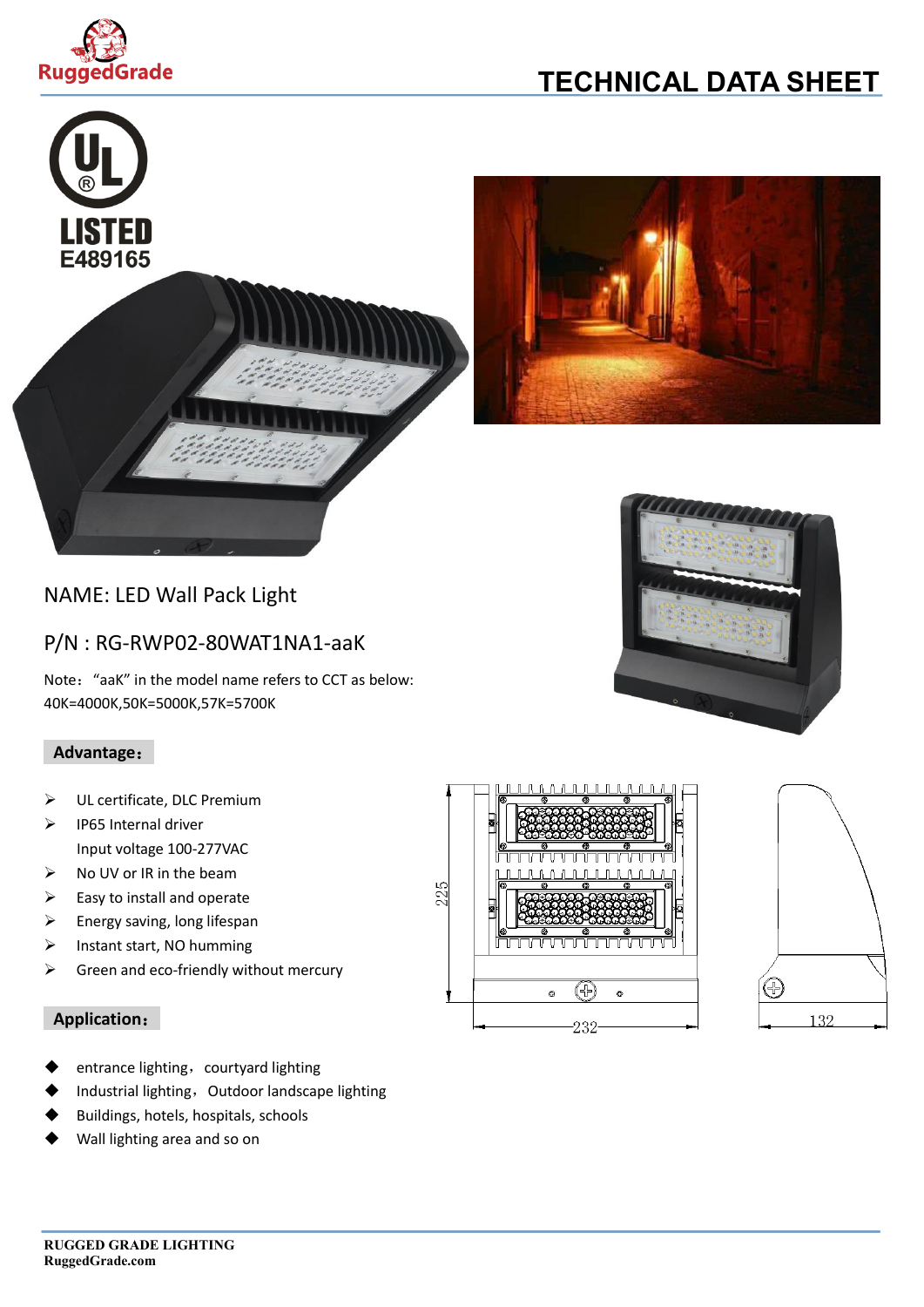

# **TECHNICAL DATA SHEET**





### NAME: LED Wall Pack Light

### P/N : RG-RWP02-80WAT1NA1-aaK

Note: "aaK" in the model name refers to CCT as below: 40K=4000K,50K=5000K,57K=5700K

### **Advantage**:

- ➢ UL certificate, DLC Premium
- ➢ IP65 Internal driver Input voltage 100-277VAC
- ➢ No UV or IR in the beam
- $\triangleright$  Easy to install and operate
- $\triangleright$  Energy saving, long lifespan
- ➢ Instant start, NO humming
- $\triangleright$  Green and eco-friendly without mercury

#### **Application**:

- entrance lighting, courtyard lighting
- Industrial lighting, Outdoor landscape lighting
- Buildings, hotels, hospitals, schools
- Wall lighting area and so on





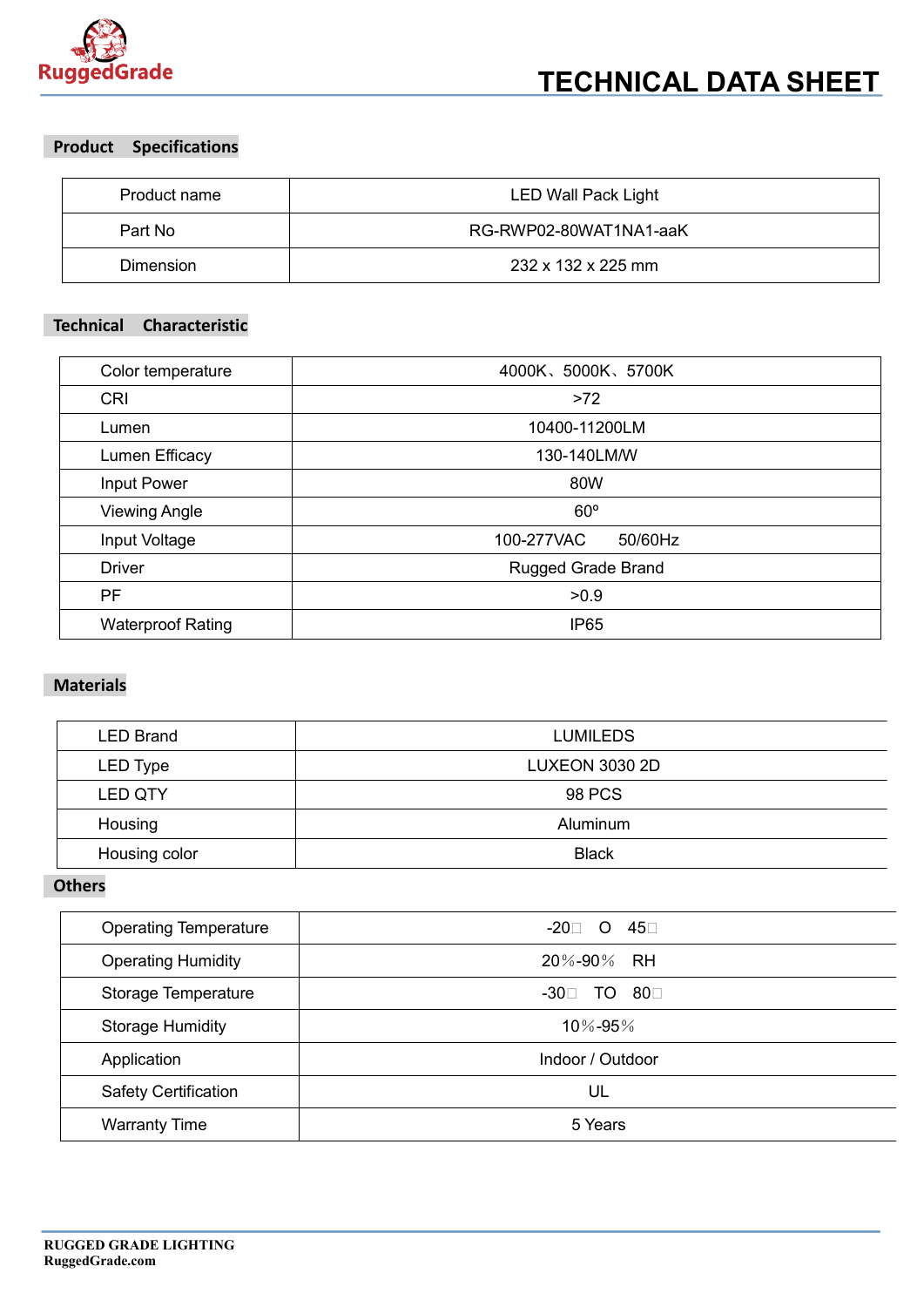

### **Product Specifications**

| Product name     | <b>LED Wall Pack Light</b> |  |
|------------------|----------------------------|--|
| Part No          | RG-RWP02-80WAT1NA1-aaK     |  |
| <b>Dimension</b> | 232 x 132 x 225 mm         |  |

#### **Technical Characteristic**

| Color temperature        | 4000K、5000K、5700K         |  |  |
|--------------------------|---------------------------|--|--|
| <b>CRI</b>               | $>72$                     |  |  |
| Lumen                    | 10400-11200LM             |  |  |
| Lumen Efficacy           | 130-140LM/W               |  |  |
| Input Power              | 80W                       |  |  |
| <b>Viewing Angle</b>     | $60^\circ$                |  |  |
| Input Voltage            | 100-277VAC<br>50/60Hz     |  |  |
| <b>Driver</b>            | <b>Rugged Grade Brand</b> |  |  |
| PF                       | >0.9                      |  |  |
| <b>Waterproof Rating</b> | IP <sub>65</sub>          |  |  |

### **Materials**

| <b>LED Brand</b> | <b>LUMILEDS</b>       |
|------------------|-----------------------|
| LED Type         | <b>LUXEON 3030 2D</b> |
| <b>LED QTY</b>   | <b>98 PCS</b>         |
| Housing          | Aluminum              |
| Housing color    | <b>Black</b>          |

### **Others**

| <b>Operating Temperature</b> | $-20$ 0 45       |
|------------------------------|------------------|
| <b>Operating Humidity</b>    | 20%-90% RH       |
| Storage Temperature          | TO 800<br>-30⊡   |
| <b>Storage Humidity</b>      | 10%-95%          |
| Application                  | Indoor / Outdoor |
| <b>Safety Certification</b>  | UL               |
| <b>Warranty Time</b>         | 5 Years          |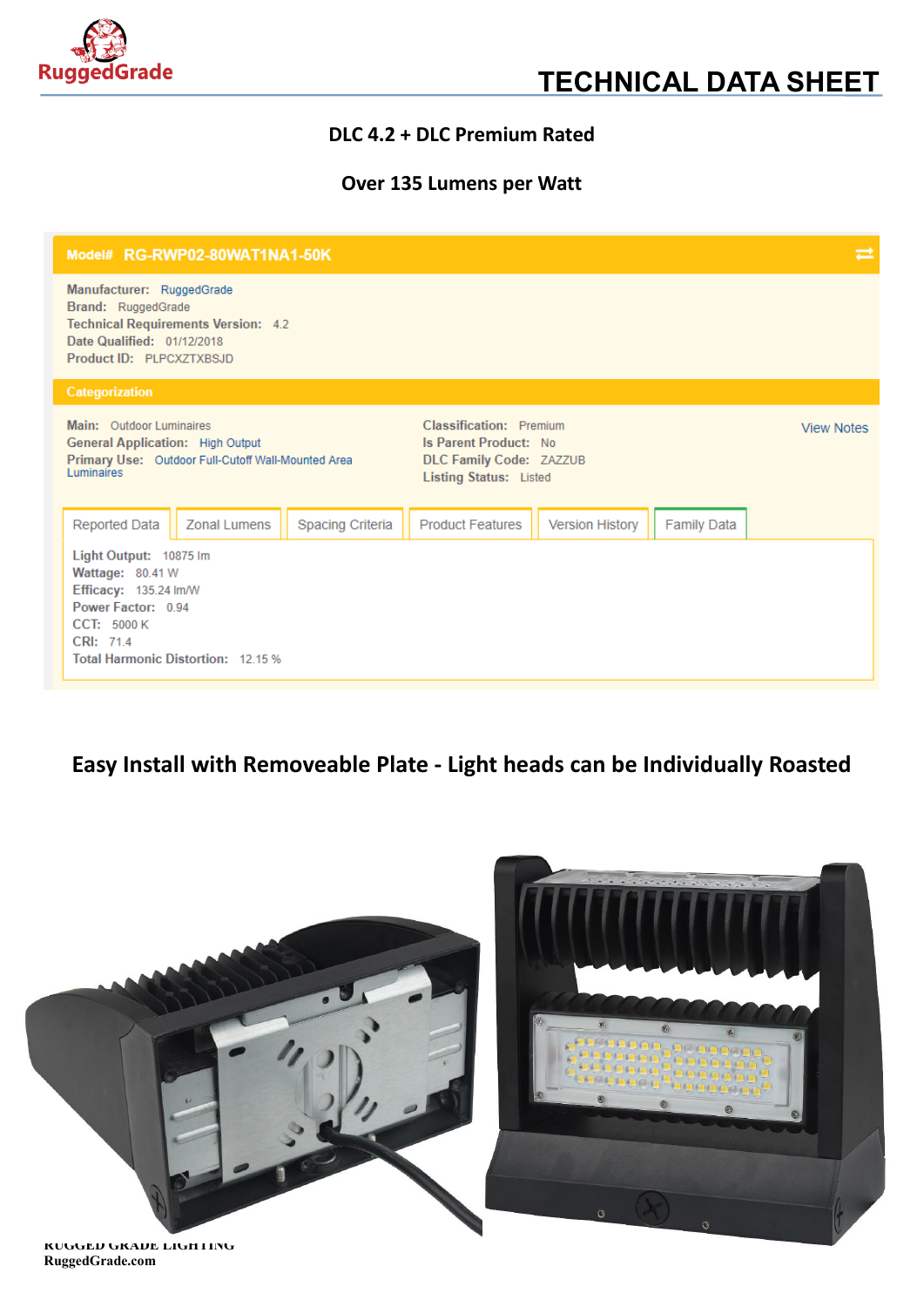

### **DLC 4.2 + DLC Premium Rated**

### **Over 135 Lumens per Watt**

| Model# RG-RWP02-80WAT1NA1-50K                                                                                                                              |                         |                                                                                                                     | ㄹ                      |                    |                   |
|------------------------------------------------------------------------------------------------------------------------------------------------------------|-------------------------|---------------------------------------------------------------------------------------------------------------------|------------------------|--------------------|-------------------|
| Manufacturer: RuggedGrade<br>Brand: RuggedGrade<br><b>Technical Requirements Version: 4.2</b><br>Date Qualified: 01/12/2018<br>Product ID: PLPCXZTXBSJD    |                         |                                                                                                                     |                        |                    |                   |
| Categorization                                                                                                                                             |                         |                                                                                                                     |                        |                    |                   |
| Main: Outdoor Luminaires<br><b>General Application: High Output</b><br>Primary Use: Outdoor Full-Cutoff Wall-Mounted Area<br>Luminaires                    |                         | Classification: Premium<br><b>Is Parent Product: No</b><br>DLC Family Code: ZAZZUB<br><b>Listing Status: Listed</b> |                        |                    | <b>View Notes</b> |
| <b>Reported Data</b><br><b>Zonal Lumens</b>                                                                                                                | <b>Spacing Criteria</b> | <b>Product Features</b>                                                                                             | <b>Version History</b> | <b>Family Data</b> |                   |
| Light Output: 10875 Im<br>Wattage: 80.41 W<br>Efficacy: 135.24 Im/W<br>Power Factor: 0.94<br>CCT: 5000 K<br>CRI: 714<br>Total Harmonic Distortion: 12.15 % |                         |                                                                                                                     |                        |                    |                   |

## **Easy Install with Removeable Plate - Light heads can be Individually Roasted**



### **RuggedGrade.com**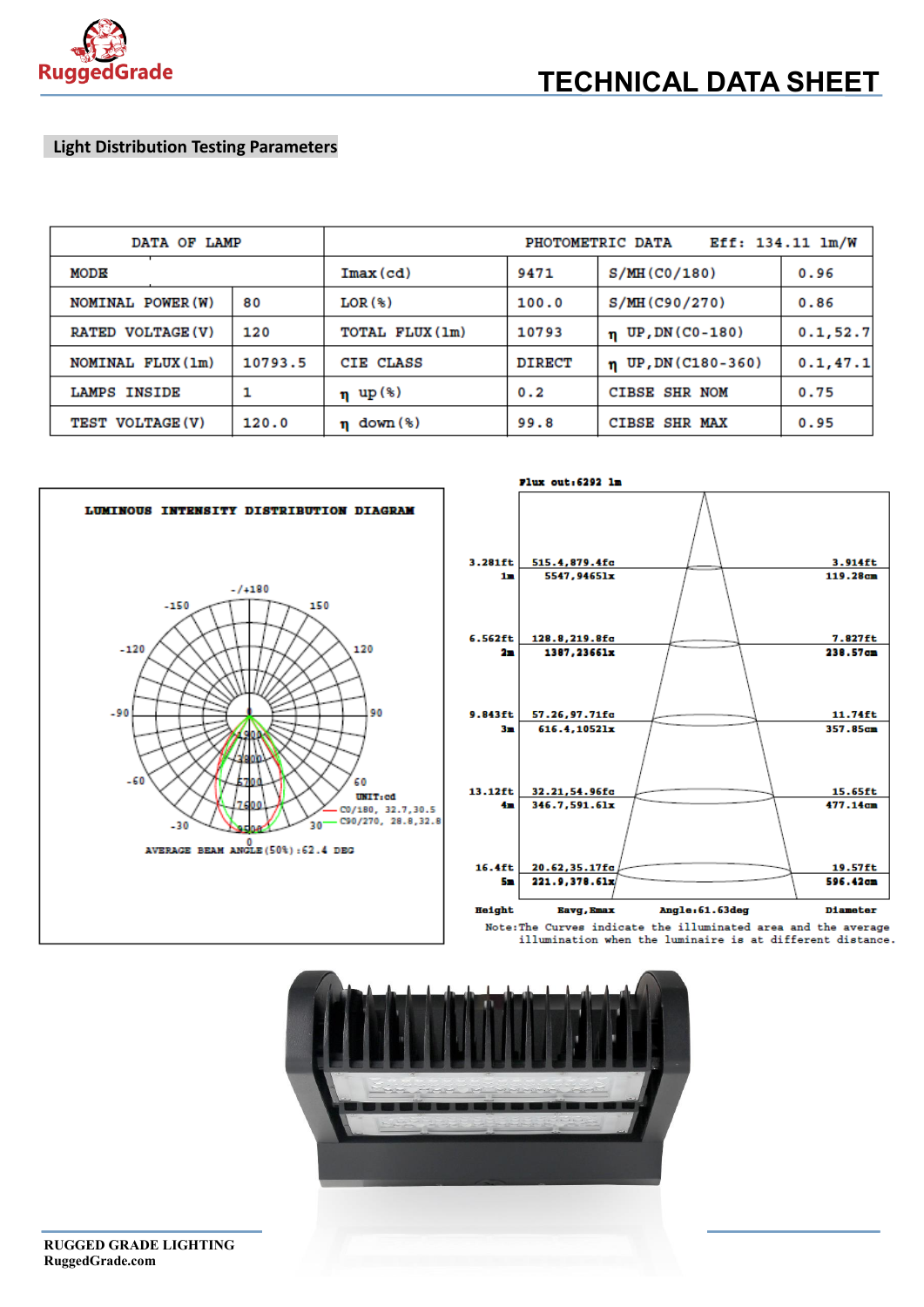

#### **Light Distribution Testing Parameters**

| DATA OF LAMP             |         | Eff: 134.11 lm/W<br>PHOTOMETRIC DATA |               |                          |           |
|--------------------------|---------|--------------------------------------|---------------|--------------------------|-----------|
| MODE                     |         | $Imax$ (cd)                          | 9471          | S/MH(C0/180)             | 0.96      |
| NOMINAL POWER (W)        | 80      | $LOR$ $(*)$                          | 100.0         | S/MH(C90/270)            | 0.86      |
| <b>RATED VOLTAGE (V)</b> | 120     | TOTAL FLUX (1m)                      | 10793         | $\eta$ UP, DN (C0-180)   | 0.1, 52.7 |
| NOMINAL FLUX (1m)        | 10793.5 | CIE CLASS                            | <b>DIRECT</b> | $\eta$ UP, DN (C180-360) | 0.1, 47.1 |
| <b>LAMPS INSIDE</b>      |         | $\eta$ up (%)                        | 0.2           | <b>CIBSE SHR NOM</b>     | 0.75      |
| TEST VOLTAGE (V)         | 120.0   | $n \text{ down } (*)$                | 99.8          | CIBSE SHR MAX            | 0.95      |









**RUGGED GRADE LIGHTING RuggedGrade.com**